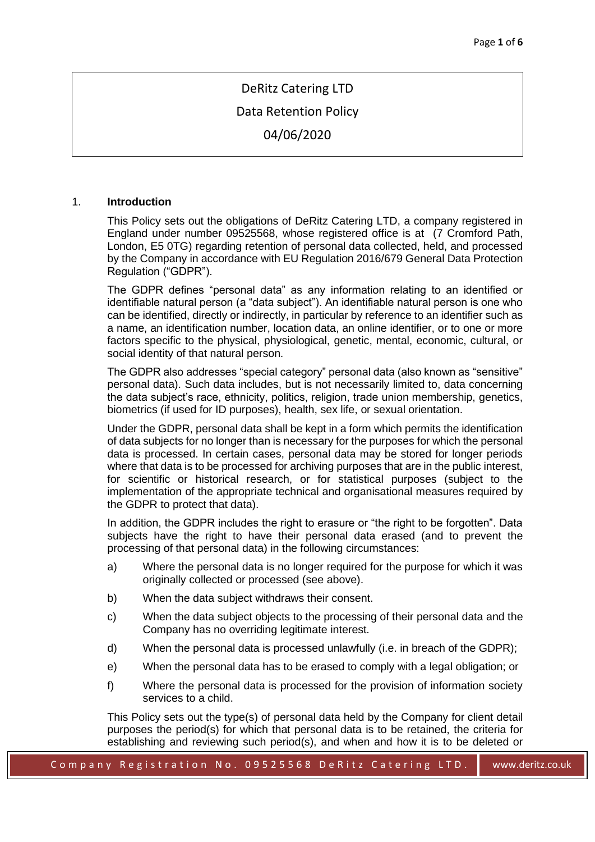# DeRitz Catering LTD

## Data Retention Policy

04/06/2020

#### 1. **Introduction**

This Policy sets out the obligations of DeRitz Catering LTD, a company registered in England under number 09525568, whose registered office is at (7 Cromford Path, London, E5 0TG) regarding retention of personal data collected, held, and processed by the Company in accordance with EU Regulation 2016/679 General Data Protection Regulation ("GDPR").

The GDPR defines "personal data" as any information relating to an identified or identifiable natural person (a "data subject"). An identifiable natural person is one who can be identified, directly or indirectly, in particular by reference to an identifier such as a name, an identification number, location data, an online identifier, or to one or more factors specific to the physical, physiological, genetic, mental, economic, cultural, or social identity of that natural person.

The GDPR also addresses "special category" personal data (also known as "sensitive" personal data). Such data includes, but is not necessarily limited to, data concerning the data subject's race, ethnicity, politics, religion, trade union membership, genetics, biometrics (if used for ID purposes), health, sex life, or sexual orientation.

Under the GDPR, personal data shall be kept in a form which permits the identification of data subjects for no longer than is necessary for the purposes for which the personal data is processed. In certain cases, personal data may be stored for longer periods where that data is to be processed for archiving purposes that are in the public interest, for scientific or historical research, or for statistical purposes (subject to the implementation of the appropriate technical and organisational measures required by the GDPR to protect that data).

In addition, the GDPR includes the right to erasure or "the right to be forgotten". Data subjects have the right to have their personal data erased (and to prevent the processing of that personal data) in the following circumstances:

- a) Where the personal data is no longer required for the purpose for which it was originally collected or processed (see above).
- b) When the data subject withdraws their consent.
- c) When the data subject objects to the processing of their personal data and the Company has no overriding legitimate interest.
- d) When the personal data is processed unlawfully (i.e. in breach of the GDPR);
- e) When the personal data has to be erased to comply with a legal obligation; or
- f) Where the personal data is processed for the provision of information society services to a child.

This Policy sets out the type(s) of personal data held by the Company for client detail purposes the period(s) for which that personal data is to be retained, the criteria for establishing and reviewing such period(s), and when and how it is to be deleted or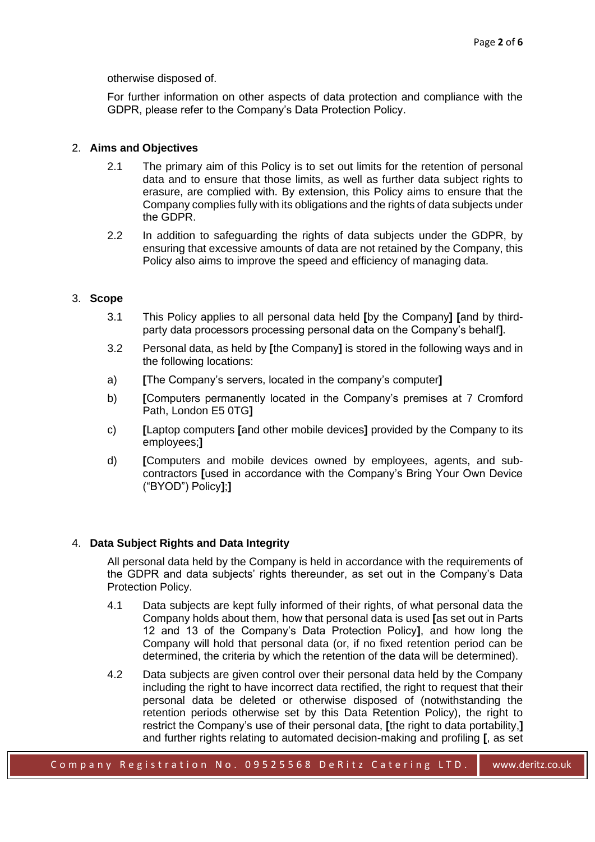otherwise disposed of.

For further information on other aspects of data protection and compliance with the GDPR, please refer to the Company's Data Protection Policy.

## 2. **Aims and Objectives**

- 2.1 The primary aim of this Policy is to set out limits for the retention of personal data and to ensure that those limits, as well as further data subject rights to erasure, are complied with. By extension, this Policy aims to ensure that the Company complies fully with its obligations and the rights of data subjects under the GDPR.
- 2.2 In addition to safeguarding the rights of data subjects under the GDPR, by ensuring that excessive amounts of data are not retained by the Company, this Policy also aims to improve the speed and efficiency of managing data.

#### 3. **Scope**

- 3.1 This Policy applies to all personal data held **[**by the Company**] [**and by thirdparty data processors processing personal data on the Company's behalf**]**.
- 3.2 Personal data, as held by **[**the Company**]** is stored in the following ways and in the following locations:
- a) **[**The Company's servers, located in the company's computer**]**
- b) **[**Computers permanently located in the Company's premises at 7 Cromford Path, London E5 0TG**]**
- c) **[**Laptop computers **[**and other mobile devices**]** provided by the Company to its employees;**]**
- d) **[**Computers and mobile devices owned by employees, agents, and subcontractors **[**used in accordance with the Company's Bring Your Own Device ("BYOD") Policy**]**;**]**

## 4. **Data Subject Rights and Data Integrity**

All personal data held by the Company is held in accordance with the requirements of the GDPR and data subjects' rights thereunder, as set out in the Company's Data Protection Policy.

- 4.1 Data subjects are kept fully informed of their rights, of what personal data the Company holds about them, how that personal data is used **[**as set out in Parts 12 and 13 of the Company's Data Protection Policy**]**, and how long the Company will hold that personal data (or, if no fixed retention period can be determined, the criteria by which the retention of the data will be determined).
- 4.2 Data subjects are given control over their personal data held by the Company including the right to have incorrect data rectified, the right to request that their personal data be deleted or otherwise disposed of (notwithstanding the retention periods otherwise set by this Data Retention Policy), the right to restrict the Company's use of their personal data, **[**the right to data portability,**]** and further rights relating to automated decision-making and profiling **[**, as set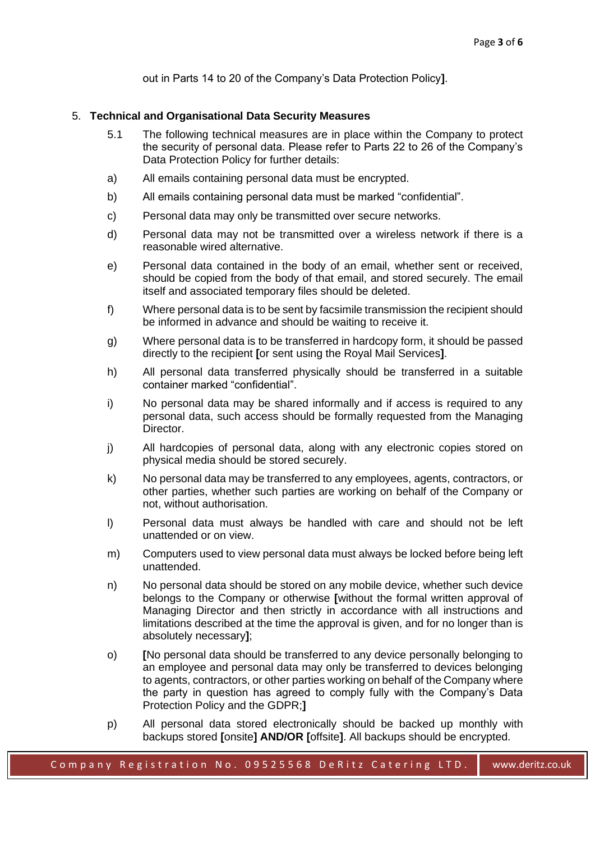out in Parts 14 to 20 of the Company's Data Protection Policy**]**.

#### 5. **Technical and Organisational Data Security Measures**

- 5.1 The following technical measures are in place within the Company to protect the security of personal data. Please refer to Parts 22 to 26 of the Company's Data Protection Policy for further details:
- a) All emails containing personal data must be encrypted.
- b) All emails containing personal data must be marked "confidential".
- c) Personal data may only be transmitted over secure networks.
- d) Personal data may not be transmitted over a wireless network if there is a reasonable wired alternative.
- e) Personal data contained in the body of an email, whether sent or received, should be copied from the body of that email, and stored securely. The email itself and associated temporary files should be deleted.
- f) Where personal data is to be sent by facsimile transmission the recipient should be informed in advance and should be waiting to receive it.
- g) Where personal data is to be transferred in hardcopy form, it should be passed directly to the recipient **[**or sent using the Royal Mail Services**]**.
- h) All personal data transferred physically should be transferred in a suitable container marked "confidential".
- i) No personal data may be shared informally and if access is required to any personal data, such access should be formally requested from the Managing Director.
- j) All hardcopies of personal data, along with any electronic copies stored on physical media should be stored securely.
- k) No personal data may be transferred to any employees, agents, contractors, or other parties, whether such parties are working on behalf of the Company or not, without authorisation.
- l) Personal data must always be handled with care and should not be left unattended or on view.
- m) Computers used to view personal data must always be locked before being left unattended.
- n) No personal data should be stored on any mobile device, whether such device belongs to the Company or otherwise **[**without the formal written approval of Managing Director and then strictly in accordance with all instructions and limitations described at the time the approval is given, and for no longer than is absolutely necessary**]**;
- o) **[**No personal data should be transferred to any device personally belonging to an employee and personal data may only be transferred to devices belonging to agents, contractors, or other parties working on behalf of the Company where the party in question has agreed to comply fully with the Company's Data Protection Policy and the GDPR;**]**
- p) All personal data stored electronically should be backed up monthly with backups stored **[**onsite**] AND/OR [**offsite**]**. All backups should be encrypted.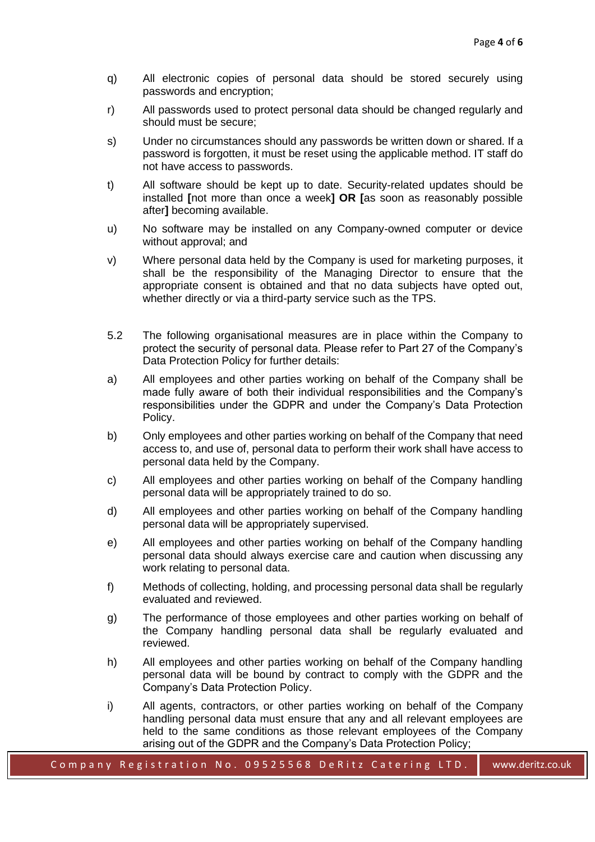- q) All electronic copies of personal data should be stored securely using passwords and encryption;
- r) All passwords used to protect personal data should be changed regularly and should must be secure;
- s) Under no circumstances should any passwords be written down or shared. If a password is forgotten, it must be reset using the applicable method. IT staff do not have access to passwords.
- t) All software should be kept up to date. Security-related updates should be installed **[**not more than once a week**] OR [**as soon as reasonably possible after**]** becoming available.
- u) No software may be installed on any Company-owned computer or device without approval; and
- v) Where personal data held by the Company is used for marketing purposes, it shall be the responsibility of the Managing Director to ensure that the appropriate consent is obtained and that no data subjects have opted out, whether directly or via a third-party service such as the TPS.
- 5.2 The following organisational measures are in place within the Company to protect the security of personal data. Please refer to Part 27 of the Company's Data Protection Policy for further details:
- a) All employees and other parties working on behalf of the Company shall be made fully aware of both their individual responsibilities and the Company's responsibilities under the GDPR and under the Company's Data Protection Policy.
- b) Only employees and other parties working on behalf of the Company that need access to, and use of, personal data to perform their work shall have access to personal data held by the Company.
- c) All employees and other parties working on behalf of the Company handling personal data will be appropriately trained to do so.
- d) All employees and other parties working on behalf of the Company handling personal data will be appropriately supervised.
- e) All employees and other parties working on behalf of the Company handling personal data should always exercise care and caution when discussing any work relating to personal data.
- f) Methods of collecting, holding, and processing personal data shall be regularly evaluated and reviewed.
- g) The performance of those employees and other parties working on behalf of the Company handling personal data shall be regularly evaluated and reviewed.
- h) All employees and other parties working on behalf of the Company handling personal data will be bound by contract to comply with the GDPR and the Company's Data Protection Policy.
- i) All agents, contractors, or other parties working on behalf of the Company handling personal data must ensure that any and all relevant employees are held to the same conditions as those relevant employees of the Company arising out of the GDPR and the Company's Data Protection Policy;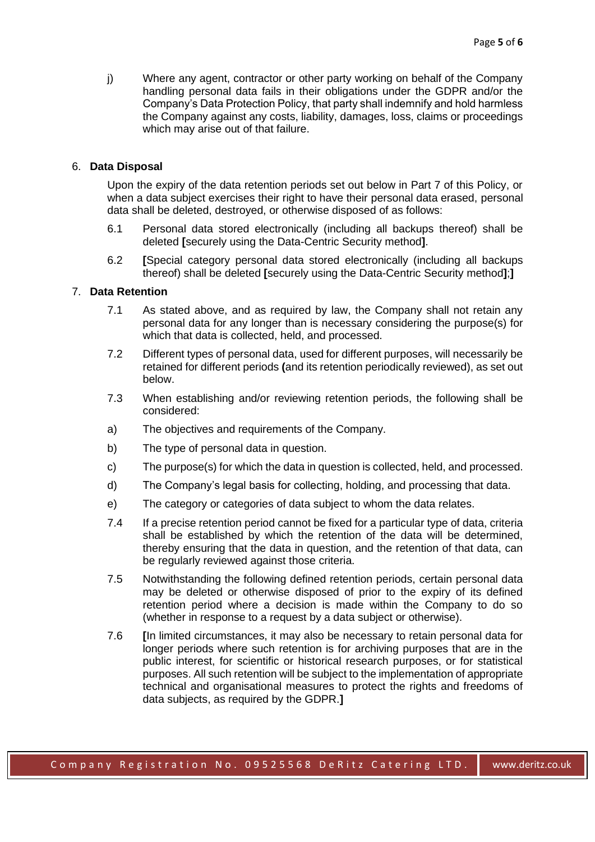j) Where any agent, contractor or other party working on behalf of the Company handling personal data fails in their obligations under the GDPR and/or the Company's Data Protection Policy, that party shall indemnify and hold harmless the Company against any costs, liability, damages, loss, claims or proceedings which may arise out of that failure.

#### 6. **Data Disposal**

Upon the expiry of the data retention periods set out below in Part 7 of this Policy, or when a data subject exercises their right to have their personal data erased, personal data shall be deleted, destroyed, or otherwise disposed of as follows:

- 6.1 Personal data stored electronically (including all backups thereof) shall be deleted **[**securely using the Data-Centric Security method**]**.
- 6.2 **[**Special category personal data stored electronically (including all backups thereof) shall be deleted **[**securely using the Data-Centric Security method**]**;**]**

## 7. **Data Retention**

- 7.1 As stated above, and as required by law, the Company shall not retain any personal data for any longer than is necessary considering the purpose(s) for which that data is collected, held, and processed.
- 7.2 Different types of personal data, used for different purposes, will necessarily be retained for different periods **(**and its retention periodically reviewed), as set out below.
- 7.3 When establishing and/or reviewing retention periods, the following shall be considered:
- a) The objectives and requirements of the Company.
- b) The type of personal data in question.
- c) The purpose(s) for which the data in question is collected, held, and processed.
- d) The Company's legal basis for collecting, holding, and processing that data.
- e) The category or categories of data subject to whom the data relates.
- 7.4 If a precise retention period cannot be fixed for a particular type of data, criteria shall be established by which the retention of the data will be determined, thereby ensuring that the data in question, and the retention of that data, can be regularly reviewed against those criteria.
- 7.5 Notwithstanding the following defined retention periods, certain personal data may be deleted or otherwise disposed of prior to the expiry of its defined retention period where a decision is made within the Company to do so (whether in response to a request by a data subject or otherwise).
- 7.6 **[**In limited circumstances, it may also be necessary to retain personal data for longer periods where such retention is for archiving purposes that are in the public interest, for scientific or historical research purposes, or for statistical purposes. All such retention will be subject to the implementation of appropriate technical and organisational measures to protect the rights and freedoms of data subjects, as required by the GDPR.**]**